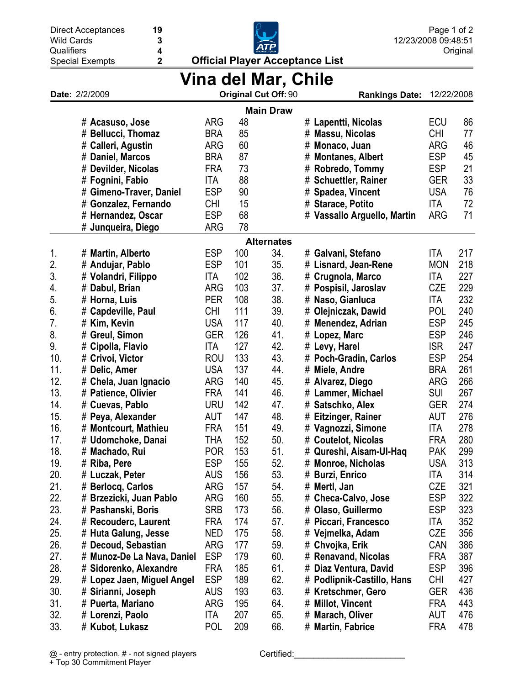| <b>Wild Cards</b>   | $\mathbf 3$                 |            |     |                                        |   | 12/23/2008 09:48:51             |            |          |  |
|---------------------|-----------------------------|------------|-----|----------------------------------------|---|---------------------------------|------------|----------|--|
| Qualifiers          | $\overline{\mathbf{4}}$     |            |     |                                        |   |                                 |            | Original |  |
|                     | 2<br><b>Special Exempts</b> |            |     | <b>Official Player Acceptance List</b> |   |                                 |            |          |  |
| Vina del Mar, Chile |                             |            |     |                                        |   |                                 |            |          |  |
|                     | Date: 2/2/2009              |            |     | Original Cut Off: 90                   |   | <b>Rankings Date:</b>           | 12/22/2008 |          |  |
|                     |                             |            |     | <b>Main Draw</b>                       |   |                                 |            |          |  |
|                     | # Acasuso, Jose             | <b>ARG</b> | 48  |                                        |   | # Lapentti, Nicolas             | <b>ECU</b> | 86       |  |
|                     | # Bellucci, Thomaz          | <b>BRA</b> | 85  |                                        |   | # Massu, Nicolas                | <b>CHI</b> | 77       |  |
|                     | # Calleri, Agustin          | <b>ARG</b> | 60  |                                        |   | # Monaco, Juan                  | <b>ARG</b> | 46       |  |
|                     | # Daniel, Marcos            | <b>BRA</b> | 87  |                                        |   | # Montanes, Albert              | <b>ESP</b> | 45       |  |
|                     | # Devilder, Nicolas         | <b>FRA</b> | 73  |                                        |   | # Robredo, Tommy                | <b>ESP</b> | 21       |  |
|                     | # Fognini, Fabio            | ITA        | 88  |                                        |   | # Schuettler, Rainer            | <b>GER</b> | 33       |  |
|                     | # Gimeno-Traver, Daniel     | <b>ESP</b> | 90  |                                        |   | # Spadea, Vincent               | <b>USA</b> | 76       |  |
|                     | # Gonzalez, Fernando        | <b>CHI</b> | 15  |                                        |   | # Starace, Potito               | ITA        | 72       |  |
|                     | # Hernandez, Oscar          | <b>ESP</b> | 68  |                                        |   | # Vassallo Arguello, Martin     | <b>ARG</b> | 71       |  |
|                     | # Junqueira, Diego          | ARG        | 78  |                                        |   |                                 |            |          |  |
|                     |                             |            |     | <b>Alternates</b>                      |   |                                 |            |          |  |
| 1.                  | # Martin, Alberto           | <b>ESP</b> | 100 | 34.                                    |   | # Galvani, Stefano              | <b>ITA</b> | 217      |  |
| 2.                  | # Andujar, Pablo            | <b>ESP</b> | 101 | 35.                                    |   | # Lisnard, Jean-Rene            | <b>MON</b> | 218      |  |
| 3.                  | # Volandri, Filippo         | ITA        | 102 | 36.                                    |   | # Crugnola, Marco               | ITA        | 227      |  |
| 4.                  | # Dabul, Brian              | <b>ARG</b> | 103 | 37.                                    |   | # Pospisil, Jaroslav            | <b>CZE</b> | 229      |  |
| 5.                  | # Horna, Luis               | <b>PER</b> | 108 | 38.                                    |   | # Naso, Gianluca                | ITA        | 232      |  |
| 6.                  | # Capdeville, Paul          | <b>CHI</b> | 111 | 39.                                    |   | # Olejniczak, Dawid             | <b>POL</b> | 240      |  |
| 7.                  | # Kim, Kevin                | <b>USA</b> | 117 | 40.                                    |   | # Menendez, Adrian              | <b>ESP</b> | 245      |  |
| 8.                  | # Greul, Simon              | <b>GER</b> | 126 | 41.                                    |   | # Lopez, Marc                   | <b>ESP</b> | 246      |  |
| 9.                  | # Cipolla, Flavio           | ITA        | 127 | 42.                                    |   | # Levy, Harel                   | <b>ISR</b> | 247      |  |
| 10.                 | # Crivoi, Victor            | <b>ROU</b> | 133 | 43.                                    |   | # Poch-Gradin, Carlos           | <b>ESP</b> | 254      |  |
| 11.                 | # Delic, Amer               | <b>USA</b> | 137 | 44.                                    |   | # Miele, Andre                  | <b>BRA</b> | 261      |  |
| 12.                 | # Chela, Juan Ignacio       | <b>ARG</b> | 140 | 45.                                    |   | # Alvarez, Diego                | <b>ARG</b> | 266      |  |
| 13.                 | # Patience, Olivier         | <b>FRA</b> | 141 | 46.                                    |   | # Lammer, Michael               | SUI        | 267      |  |
| 14.                 | # Cuevas, Pablo             | <b>URU</b> | 142 | 47.                                    |   | # Satschko, Alex                | <b>GER</b> | 274      |  |
| 15.                 | # Peya, Alexander           | <b>AUT</b> | 147 | 48.                                    |   | # Eitzinger, Rainer             | <b>AUT</b> | 276      |  |
| 16.                 | # Montcourt, Mathieu        | FRA        | 151 | 49.                                    |   | # Vagnozzi, Simone              | ITA        | 278      |  |
| 17.                 | # Udomchoke, Danai          | tha        | 152 | 50.                                    | # | <b>Coutelot, Nicolas</b>        | <b>FRA</b> | 280      |  |
| 18.                 | # Machado, Rui              | <b>POR</b> | 153 | 51.                                    |   | # Qureshi, Aisam-UI-Haq         | <b>PAK</b> | 299      |  |
| 19.                 | # Riba, Pere                | <b>ESP</b> | 155 | 52.                                    | # | <b>Monroe, Nicholas</b>         | <b>USA</b> | 313      |  |
| 20.                 | # Luczak, Peter             | <b>AUS</b> | 156 | 53.                                    |   | # Burzi, Enrico                 | ITA        | 314      |  |
| 21.                 | # Berlocq, Carlos           | <b>ARG</b> | 157 | 54.                                    | # | Mertl, Jan                      | <b>CZE</b> | 321      |  |
| 22.                 | # Brzezicki, Juan Pablo     | ARG        | 160 | 55.                                    | # | <b>Checa-Calvo, Jose</b>        | <b>ESP</b> | 322      |  |
| 23.                 | # Pashanski, Boris          | <b>SRB</b> | 173 | 56.                                    | # | Olaso, Guillermo                | <b>ESP</b> | 323      |  |
| 24.                 | # Recouderc, Laurent        | FRA        | 174 | 57.                                    | # | Piccari, Francesco              | ITA        | 352      |  |
| 25.                 | # Huta Galung, Jesse        | <b>NED</b> | 175 | 58.                                    | # | Vejmelka, Adam                  | CZE        | 356      |  |
| 26.                 | # Decoud, Sebastian         | ARG        | 177 | 59.                                    |   | # Chvojka, Erik                 | CAN        | 386      |  |
| 27.                 | # Munoz-De La Nava, Daniel  | <b>ESP</b> | 179 | 60.                                    | # | <b>Renavand, Nicolas</b>        | <b>FRA</b> | 387      |  |
| 28.                 | # Sidorenko, Alexandre      | FRA        | 185 | 61.                                    |   | # Diaz Ventura, David           | <b>ESP</b> | 396      |  |
| 29.                 | # Lopez Jaen, Miguel Angel  | <b>ESP</b> | 189 | 62.                                    | # | <b>Podlipnik-Castillo, Hans</b> | <b>CHI</b> | 427      |  |
| 30.                 | # Sirianni, Joseph          | <b>AUS</b> | 193 | 63.                                    |   | # Kretschmer, Gero              | <b>GER</b> | 436      |  |
| 31.                 | # Puerta, Mariano           | ARG        | 195 | 64.                                    | # | <b>Millot, Vincent</b>          | <b>FRA</b> | 443      |  |
| 32.                 | # Lorenzi, Paolo            | ITA        | 207 | 65.                                    | # | <b>Marach, Oliver</b>           | AUT        | 476      |  |
| 33.                 | # Kubot, Lukasz             | <b>POL</b> | 209 | 66.                                    |   | # Martin, Fabrice               | <b>FRA</b> | 478      |  |

Page 1 of 2

Direct Acceptances

**19**

Certified: